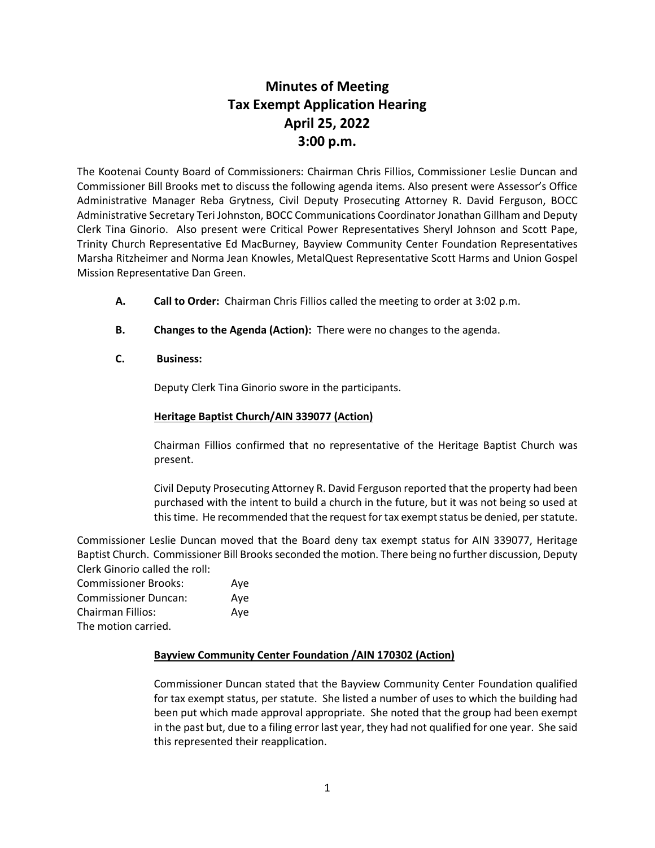# **Minutes of Meeting Tax Exempt Application Hearing April 25, 2022 3:00 p.m.**

The Kootenai County Board of Commissioners: Chairman Chris Fillios, Commissioner Leslie Duncan and Commissioner Bill Brooks met to discuss the following agenda items. Also present were Assessor's Office Administrative Manager Reba Grytness, Civil Deputy Prosecuting Attorney R. David Ferguson, BOCC Administrative Secretary Teri Johnston, BOCC Communications Coordinator Jonathan Gillham and Deputy Clerk Tina Ginorio. Also present were Critical Power Representatives Sheryl Johnson and Scott Pape, Trinity Church Representative Ed MacBurney, Bayview Community Center Foundation Representatives Marsha Ritzheimer and Norma Jean Knowles, MetalQuest Representative Scott Harms and Union Gospel Mission Representative Dan Green.

- **A. Call to Order:** Chairman Chris Fillios called the meeting to order at 3:02 p.m.
- **B. Changes to the Agenda (Action):** There were no changes to the agenda.
- **C. Business:**

Deputy Clerk Tina Ginorio swore in the participants.

# **Heritage Baptist Church/AIN 339077 (Action)**

Chairman Fillios confirmed that no representative of the Heritage Baptist Church was present.

Civil Deputy Prosecuting Attorney R. David Ferguson reported that the property had been purchased with the intent to build a church in the future, but it was not being so used at this time. He recommended that the request for tax exempt status be denied, per statute.

Commissioner Leslie Duncan moved that the Board deny tax exempt status for AIN 339077, Heritage Baptist Church. Commissioner Bill Brooksseconded the motion. There being no further discussion, Deputy Clerk Ginorio called the roll:

| <b>Commissioner Brooks:</b> | Ave |
|-----------------------------|-----|
| <b>Commissioner Duncan:</b> | Ave |
| <b>Chairman Fillios:</b>    | Ave |
| The motion carried.         |     |

# **Bayview Community Center Foundation /AIN 170302 (Action)**

Commissioner Duncan stated that the Bayview Community Center Foundation qualified for tax exempt status, per statute. She listed a number of uses to which the building had been put which made approval appropriate. She noted that the group had been exempt in the past but, due to a filing error last year, they had not qualified for one year. She said this represented their reapplication.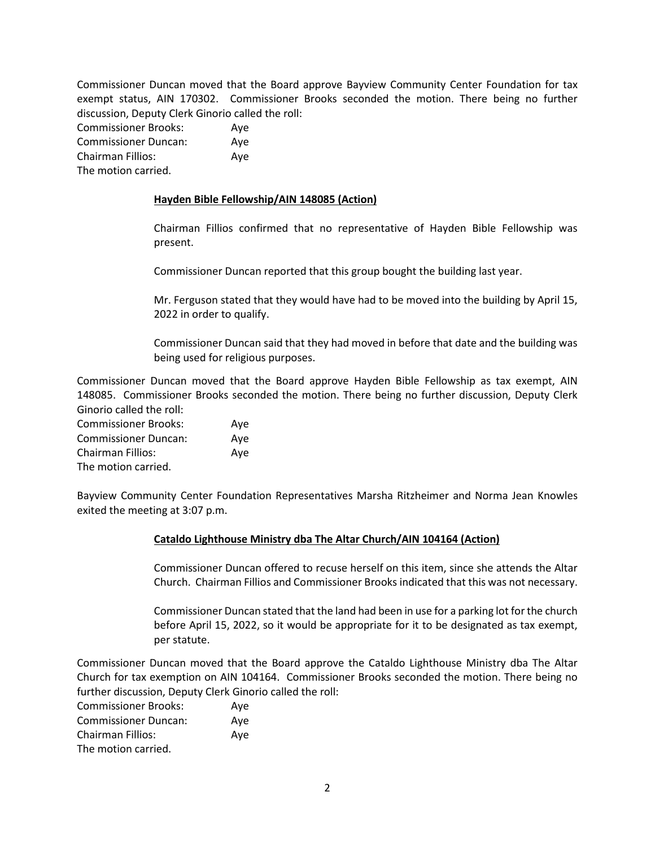Commissioner Duncan moved that the Board approve Bayview Community Center Foundation for tax exempt status, AIN 170302. Commissioner Brooks seconded the motion. There being no further discussion, Deputy Clerk Ginorio called the roll:

| Commissioner Brooks:        | Ave |
|-----------------------------|-----|
| <b>Commissioner Duncan:</b> | Ave |
| Chairman Fillios:           | Ave |
| The motion carried.         |     |

## **Hayden Bible Fellowship/AIN 148085 (Action)**

Chairman Fillios confirmed that no representative of Hayden Bible Fellowship was present.

Commissioner Duncan reported that this group bought the building last year.

Mr. Ferguson stated that they would have had to be moved into the building by April 15, 2022 in order to qualify.

Commissioner Duncan said that they had moved in before that date and the building was being used for religious purposes.

Commissioner Duncan moved that the Board approve Hayden Bible Fellowship as tax exempt, AIN 148085. Commissioner Brooks seconded the motion. There being no further discussion, Deputy Clerk Ginorio called the roll:

| <b>Commissioner Brooks:</b> | Ave |
|-----------------------------|-----|
| <b>Commissioner Duncan:</b> | Ave |
| Chairman Fillios:           | Ave |
| The motion carried.         |     |

Bayview Community Center Foundation Representatives Marsha Ritzheimer and Norma Jean Knowles exited the meeting at 3:07 p.m.

# **Cataldo Lighthouse Ministry dba The Altar Church/AIN 104164 (Action)**

Commissioner Duncan offered to recuse herself on this item, since she attends the Altar Church. Chairman Fillios and Commissioner Brooks indicated that this was not necessary.

Commissioner Duncan stated that the land had been in use for a parking lot for the church before April 15, 2022, so it would be appropriate for it to be designated as tax exempt, per statute.

Commissioner Duncan moved that the Board approve the Cataldo Lighthouse Ministry dba The Altar Church for tax exemption on AIN 104164. Commissioner Brooks seconded the motion. There being no further discussion, Deputy Clerk Ginorio called the roll:

| <b>Commissioner Brooks:</b> | Ave |
|-----------------------------|-----|
| <b>Commissioner Duncan:</b> | Ave |
| Chairman Fillios:           | Ave |
| The motion carried.         |     |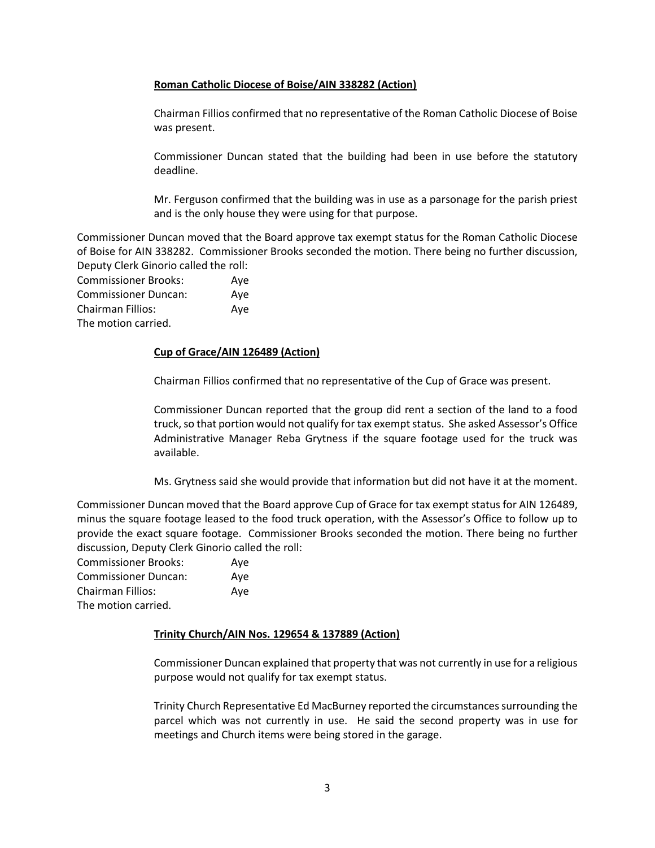## **Roman Catholic Diocese of Boise/AIN 338282 (Action)**

Chairman Fillios confirmed that no representative of the Roman Catholic Diocese of Boise was present.

Commissioner Duncan stated that the building had been in use before the statutory deadline.

Mr. Ferguson confirmed that the building was in use as a parsonage for the parish priest and is the only house they were using for that purpose.

Commissioner Duncan moved that the Board approve tax exempt status for the Roman Catholic Diocese of Boise for AIN 338282. Commissioner Brooks seconded the motion. There being no further discussion, Deputy Clerk Ginorio called the roll:

| <b>Commissioner Brooks:</b> | Ave |
|-----------------------------|-----|
| <b>Commissioner Duncan:</b> | Ave |
| <b>Chairman Fillios:</b>    | Ave |
| The motion carried.         |     |

# **Cup of Grace/AIN 126489 (Action)**

Chairman Fillios confirmed that no representative of the Cup of Grace was present.

Commissioner Duncan reported that the group did rent a section of the land to a food truck, so that portion would not qualify for tax exempt status. She asked Assessor's Office Administrative Manager Reba Grytness if the square footage used for the truck was available.

Ms. Grytness said she would provide that information but did not have it at the moment.

Commissioner Duncan moved that the Board approve Cup of Grace for tax exempt status for AIN 126489, minus the square footage leased to the food truck operation, with the Assessor's Office to follow up to provide the exact square footage. Commissioner Brooks seconded the motion. There being no further discussion, Deputy Clerk Ginorio called the roll:

| <b>Commissioner Brooks:</b> | Aye |
|-----------------------------|-----|
| <b>Commissioner Duncan:</b> | Ave |
| <b>Chairman Fillios:</b>    | Ave |
| The motion carried.         |     |

#### **Trinity Church/AIN Nos. 129654 & 137889 (Action)**

Commissioner Duncan explained that property that was not currently in use for a religious purpose would not qualify for tax exempt status.

Trinity Church Representative Ed MacBurney reported the circumstances surrounding the parcel which was not currently in use. He said the second property was in use for meetings and Church items were being stored in the garage.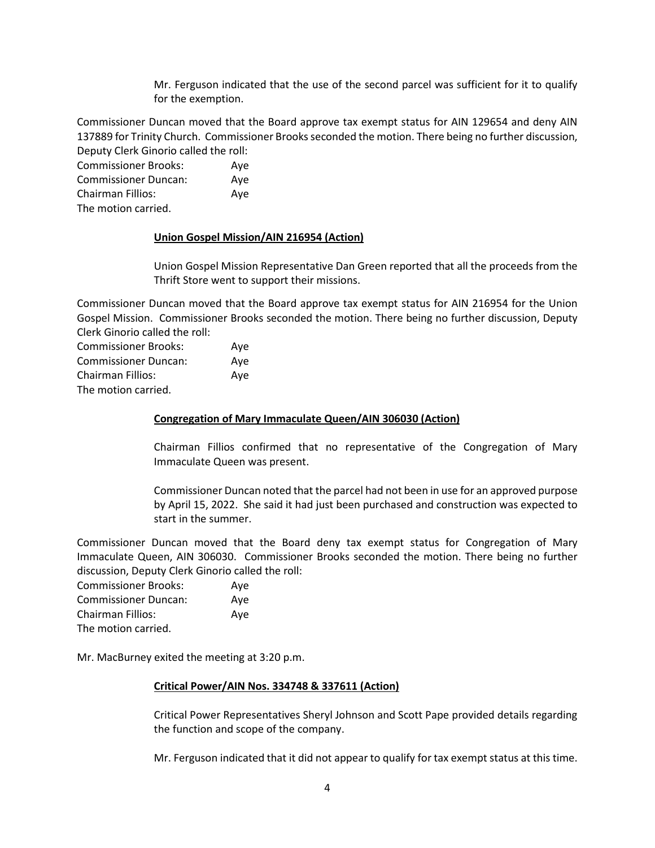Mr. Ferguson indicated that the use of the second parcel was sufficient for it to qualify for the exemption.

Commissioner Duncan moved that the Board approve tax exempt status for AIN 129654 and deny AIN 137889 for Trinity Church. Commissioner Brooks seconded the motion. There being no further discussion, Deputy Clerk Ginorio called the roll:

Commissioner Brooks: Aye Commissioner Duncan: Aye Chairman Fillios: Aye The motion carried.

## **Union Gospel Mission/AIN 216954 (Action)**

Union Gospel Mission Representative Dan Green reported that all the proceeds from the Thrift Store went to support their missions.

Commissioner Duncan moved that the Board approve tax exempt status for AIN 216954 for the Union Gospel Mission. Commissioner Brooks seconded the motion. There being no further discussion, Deputy Clerk Ginorio called the roll:

Commissioner Brooks: Aye Commissioner Duncan: Aye Chairman Fillios: Aye The motion carried.

## **Congregation of Mary Immaculate Queen/AIN 306030 (Action)**

Chairman Fillios confirmed that no representative of the Congregation of Mary Immaculate Queen was present.

Commissioner Duncan noted that the parcel had not been in use for an approved purpose by April 15, 2022. She said it had just been purchased and construction was expected to start in the summer.

Commissioner Duncan moved that the Board deny tax exempt status for Congregation of Mary Immaculate Queen, AIN 306030. Commissioner Brooks seconded the motion. There being no further discussion, Deputy Clerk Ginorio called the roll:

| <b>Commissioner Brooks:</b> | Aye |
|-----------------------------|-----|
| <b>Commissioner Duncan:</b> | Aye |
| <b>Chairman Fillios:</b>    | Ave |
| The motion carried.         |     |

Mr. MacBurney exited the meeting at 3:20 p.m.

#### **Critical Power/AIN Nos. 334748 & 337611 (Action)**

Critical Power Representatives Sheryl Johnson and Scott Pape provided details regarding the function and scope of the company.

Mr. Ferguson indicated that it did not appear to qualify for tax exempt status at this time.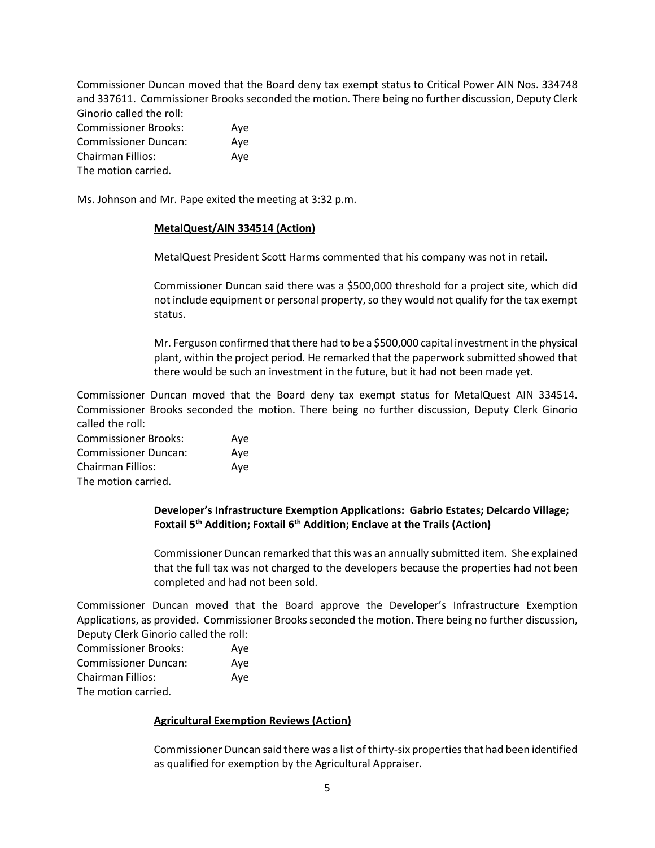Commissioner Duncan moved that the Board deny tax exempt status to Critical Power AIN Nos. 334748 and 337611. Commissioner Brooks seconded the motion. There being no further discussion, Deputy Clerk Ginorio called the roll: Commissioner Brooks: Aye

| COMMISSIONER DIOURS.        | Ave |
|-----------------------------|-----|
| <b>Commissioner Duncan:</b> | Aye |
| Chairman Fillios:           | Aye |
| The motion carried.         |     |

Ms. Johnson and Mr. Pape exited the meeting at 3:32 p.m.

## **MetalQuest/AIN 334514 (Action)**

MetalQuest President Scott Harms commented that his company was not in retail.

Commissioner Duncan said there was a \$500,000 threshold for a project site, which did not include equipment or personal property, so they would not qualify for the tax exempt status.

Mr. Ferguson confirmed that there had to be a \$500,000 capital investment in the physical plant, within the project period. He remarked that the paperwork submitted showed that there would be such an investment in the future, but it had not been made yet.

Commissioner Duncan moved that the Board deny tax exempt status for MetalQuest AIN 334514. Commissioner Brooks seconded the motion. There being no further discussion, Deputy Clerk Ginorio called the roll:

| <b>Commissioner Brooks:</b> | Ave |
|-----------------------------|-----|
| <b>Commissioner Duncan:</b> | Ave |
| Chairman Fillios:           | Ave |
| The motion carried.         |     |

# **Developer's Infrastructure Exemption Applications: Gabrio Estates; Delcardo Village; Foxtail 5th Addition; Foxtail 6th Addition; Enclave at the Trails (Action)**

Commissioner Duncan remarked that this was an annually submitted item. She explained that the full tax was not charged to the developers because the properties had not been completed and had not been sold.

Commissioner Duncan moved that the Board approve the Developer's Infrastructure Exemption Applications, as provided. Commissioner Brooks seconded the motion. There being no further discussion, Deputy Clerk Ginorio called the roll:

| <b>Commissioner Brooks:</b> | Ave |
|-----------------------------|-----|
| <b>Commissioner Duncan:</b> | Ave |
| Chairman Fillios:           | Ave |
| The motion carried.         |     |

# **Agricultural Exemption Reviews (Action)**

Commissioner Duncan said there was a list of thirty-six properties that had been identified as qualified for exemption by the Agricultural Appraiser.